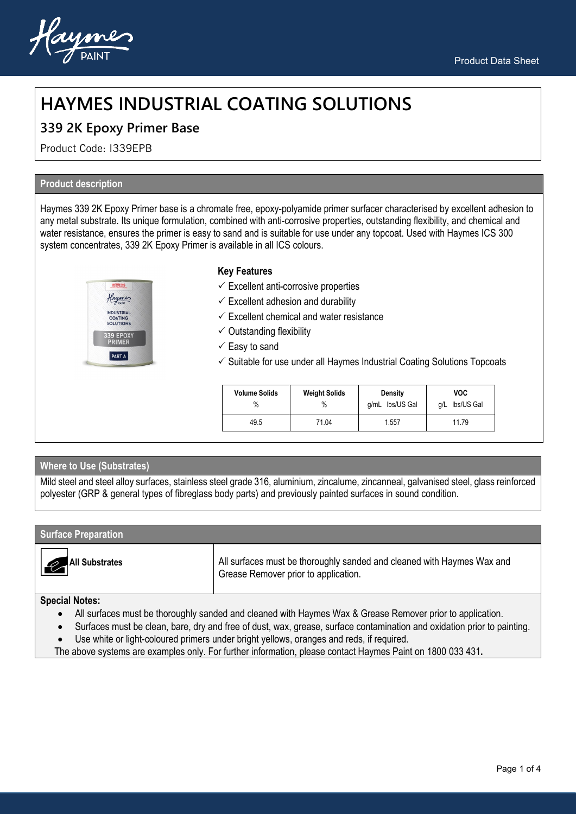

# **HAYMES INDUSTRIAL COATING SOLUTIONS**

### **339 2K Epoxy Primer Base**

Product Code: I339EPB

### **Product description**

Haymes 339 2K Epoxy Primer base is a chromate free, epoxy-polyamide primer surfacer characterised by excellent adhesion to any metal substrate. Its unique formulation, combined with anti-corrosive properties, outstanding flexibility, and chemical and water resistance, ensures the primer is easy to sand and is suitable for use under any topcoat. Used with Haymes ICS 300 system concentrates, 339 2K Epoxy Primer is available in all ICS colours.



### **Key Features**

- $\checkmark$  Excellent anti-corrosive properties
- $\checkmark$  Excellent adhesion and durability
- $\checkmark$  Excellent chemical and water resistance
- $\checkmark$  Outstanding flexibility
- $\checkmark$  Easy to sand
- $\checkmark$  Suitable for use under all Haymes Industrial Coating Solutions Topcoats

| <b>Volume Solids</b><br>$\%$ | <b>Weight Solids</b><br>$\%$ | Density<br>lbs/US Gal<br>q/mL | <b>VOC</b><br>q/L lbs/US Gal |
|------------------------------|------------------------------|-------------------------------|------------------------------|
| 49.5                         | 71.04                        | 1.557                         | 11.79                        |

### **Where to Use (Substrates)**

Mild steel and steel alloy surfaces, stainless steel grade 316, aluminium, zincalume, zincanneal, galvanised steel, glass reinforced polyester (GRP & general types of fibreglass body parts) and previously painted surfaces in sound condition.

#### **Surface Preparation**



**All Substrates** All surfaces must be thoroughly sanded and cleaned with Haymes Wax and Grease Remover prior to application.

#### **Special Notes:**

- All surfaces must be thoroughly sanded and cleaned with Haymes Wax & Grease Remover prior to application.
- Surfaces must be clean, bare, dry and free of dust, wax, grease, surface contamination and oxidation prior to painting.
- Use white or light-coloured primers under bright yellows, oranges and reds, if required.

The above systems are examples only. For further information, please contact Haymes Paint on 1800 033 431**.**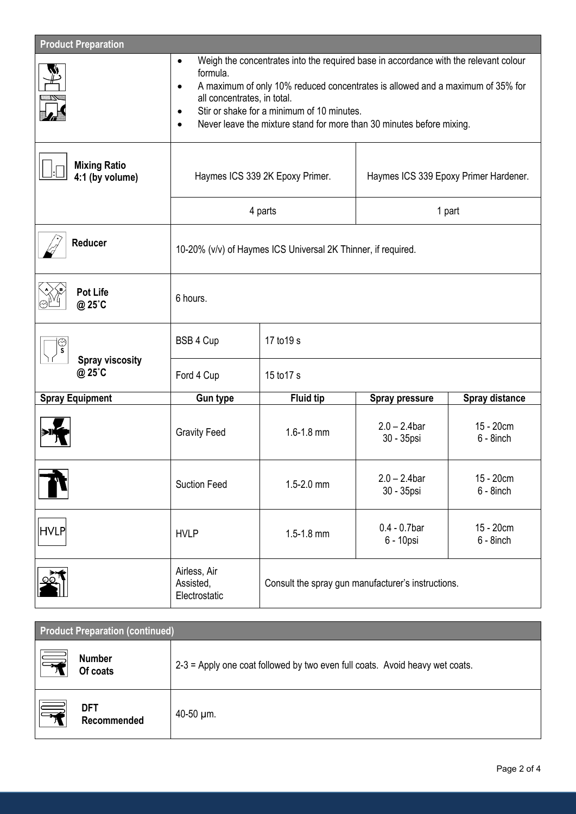| <b>Product Preparation</b>             |                                                                                                                                                                                                                                                                                                                                                                         |                  |                                                    |                           |
|----------------------------------------|-------------------------------------------------------------------------------------------------------------------------------------------------------------------------------------------------------------------------------------------------------------------------------------------------------------------------------------------------------------------------|------------------|----------------------------------------------------|---------------------------|
|                                        | Weigh the concentrates into the required base in accordance with the relevant colour<br>$\bullet$<br>formula.<br>A maximum of only 10% reduced concentrates is allowed and a maximum of 35% for<br>$\bullet$<br>all concentrates, in total.<br>Stir or shake for a minimum of 10 minutes.<br>٠<br>Never leave the mixture stand for more than 30 minutes before mixing. |                  |                                                    |                           |
| <b>Mixing Ratio</b><br>4:1 (by volume) | Haymes ICS 339 2K Epoxy Primer.                                                                                                                                                                                                                                                                                                                                         |                  | Haymes ICS 339 Epoxy Primer Hardener.              |                           |
|                                        | 4 parts                                                                                                                                                                                                                                                                                                                                                                 |                  | 1 part                                             |                           |
| Reducer                                | 10-20% (v/v) of Haymes ICS Universal 2K Thinner, if required.                                                                                                                                                                                                                                                                                                           |                  |                                                    |                           |
| <b>Pot Life</b><br>@ 25°C              | 6 hours.                                                                                                                                                                                                                                                                                                                                                                |                  |                                                    |                           |
| ్తు<br>s                               | BSB 4 Cup                                                                                                                                                                                                                                                                                                                                                               | 17 to 19 s       |                                                    |                           |
| <b>Spray viscosity</b><br>@ 25°C       | Ford 4 Cup                                                                                                                                                                                                                                                                                                                                                              | 15 to 17 s       |                                                    |                           |
| <b>Spray Equipment</b>                 | <b>Gun type</b>                                                                                                                                                                                                                                                                                                                                                         | <b>Fluid tip</b> | <b>Spray pressure</b>                              | Spray distance            |
|                                        | <b>Gravity Feed</b>                                                                                                                                                                                                                                                                                                                                                     | $1.6 - 1.8$ mm   | $2.0 - 2.4$ bar<br>30 - 35psi                      | 15 - 20cm<br>$6 - 8$ inch |
|                                        | <b>Suction Feed</b>                                                                                                                                                                                                                                                                                                                                                     | 1.5-2.0 mm       | $2.0 - 2.4$ bar<br>30 - 35psi                      | 15 - 20cm<br>6 - 8inch    |
| <b>HVLP</b>                            | <b>HVLP</b>                                                                                                                                                                                                                                                                                                                                                             | $1.5 - 1.8$ mm   | $0.4 - 0.7$ bar<br>6 - 10psi                       | 15 - 20cm<br>$6 - 8$ inch |
|                                        | Airless, Air<br>Assisted,<br>Electrostatic                                                                                                                                                                                                                                                                                                                              |                  | Consult the spray gun manufacturer's instructions. |                           |

| <b>Product Preparation (continued)</b>      |                                                                              |  |  |
|---------------------------------------------|------------------------------------------------------------------------------|--|--|
| $\quad \equiv$<br><b>Number</b><br>Of coats | 2-3 = Apply one coat followed by two even full coats. Avoid heavy wet coats. |  |  |
| 晕<br><b>DFT</b><br>Recommended              | 40-50 µm.                                                                    |  |  |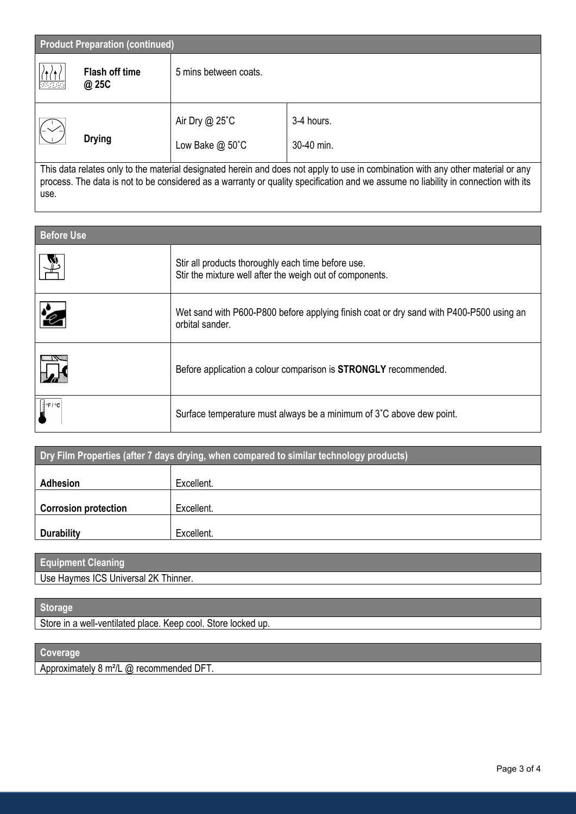| <b>Product Preparation (continued)</b>                                                                                           |                                |                                        |                          |
|----------------------------------------------------------------------------------------------------------------------------------|--------------------------------|----------------------------------------|--------------------------|
| 陽墨                                                                                                                               | <b>Flash off time</b><br>@ 25C | 5 mins between coats.                  |                          |
|                                                                                                                                  | <b>Drying</b>                  | Air Dry $@$ 25 $°C$<br>Low Bake @ 50°C | 3-4 hours.<br>30-40 min. |
| This data relates only to the material designated herein and does not apply to use in combination with any other material or any |                                |                                        |                          |

process. The data is not to be considered as a warranty or quality specification and we assume no liability in connection with its use.

| <b>Before Use</b>                                  |                                                                                                                |  |  |
|----------------------------------------------------|----------------------------------------------------------------------------------------------------------------|--|--|
|                                                    | Stir all products thoroughly each time before use.<br>Stir the mixture well after the weigh out of components. |  |  |
| $\mathbf{\hat{z}}$                                 | Wet sand with P600-P800 before applying finish coat or dry sand with P400-P500 using an<br>orbital sander.     |  |  |
|                                                    | Before application a colour comparison is <b>STRONGLY</b> recommended.                                         |  |  |
| $\int$ $\frac{1}{2}$ $\frac{e}{r}$ / $\frac{e}{r}$ | Surface temperature must always be a minimum of 3°C above dew point.                                           |  |  |

| Dry Film Properties (after 7 days drying, when compared to similar technology products) |            |  |
|-----------------------------------------------------------------------------------------|------------|--|
| <b>Adhesion</b>                                                                         | Excellent. |  |
|                                                                                         |            |  |
| <b>Corrosion protection</b>                                                             | Excellent. |  |
| <b>Durability</b>                                                                       | Excellent. |  |

| <b>Equipment Cleaning</b>            |  |
|--------------------------------------|--|
| Use Haymes ICS Universal 2K Thinner. |  |

### **Storage**

Store in a well-ventilated place. Keep cool. Store locked up.

## **Coverage**

Approximately 8 m²/L @ recommended DFT.